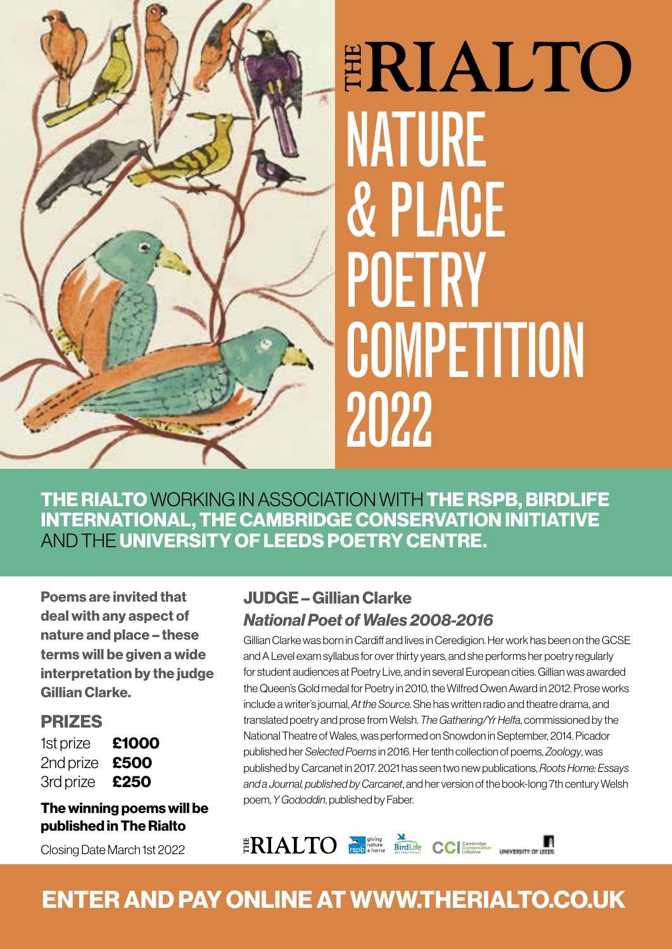

# ERIALTO NATURE & PLACE **POETRY COMPETITION** 2022

THE RIALTO WORKING IN ASSOCIATION WITH THE RSPB, BIRDLIFE INTERNATIONAL, THE CAMBRIDGE CONSERVATION INITIATIVE AND THE UNIVERSITY OF LEEDS POETRY CENTRE.

Poems are invited that deal with any aspect of nature and place – these terms will be given a wide interpretation by the judge Gillian Clarke.

### **PRIZES**

| 1st prize | £1000 |
|-----------|-------|
| 2nd prize | £500  |
| 3rd prize | £250  |

### The winning poems will be published in The Rialto

Closing Date March 1st 2022

### JUDGE – Gillian Clarke *National Poet of Wales 2008-2016*

Gillian Clarke was born in Cardiff and lives in Ceredigion. Her work has been on the GCSE and A Level exam syllabus for over thirty years, and she performs her poetry regularly for student audiences at Poetry Live, and in several European cities. Gillian was awarded the Queen's Gold medal for Poetry in 2010, the Wilfred Owen Award in 2012. Prose works include a writer's journal, *At the Source*. She has written radio and theatre drama, and translated poetry and prose from Welsh. *The Gathering/Yr Helfa*, commissioned by the National Theatre of Wales, was performed on Snowdon in September, 2014. Picador published her *Selected Poems* in 2016. Her tenth collection of poems, *Zoology*, was published by Carcanet in 2017. 2021 has seen two new publications, *Roots Home: Essays and a Journal, published by Carcanet*, and her version of the book-long 7th century Welsh poem, *Y Gododdin*, published by Faber.



### ENTER AND PAY ONLINE AT WWW.THERIALTO.CO.UK